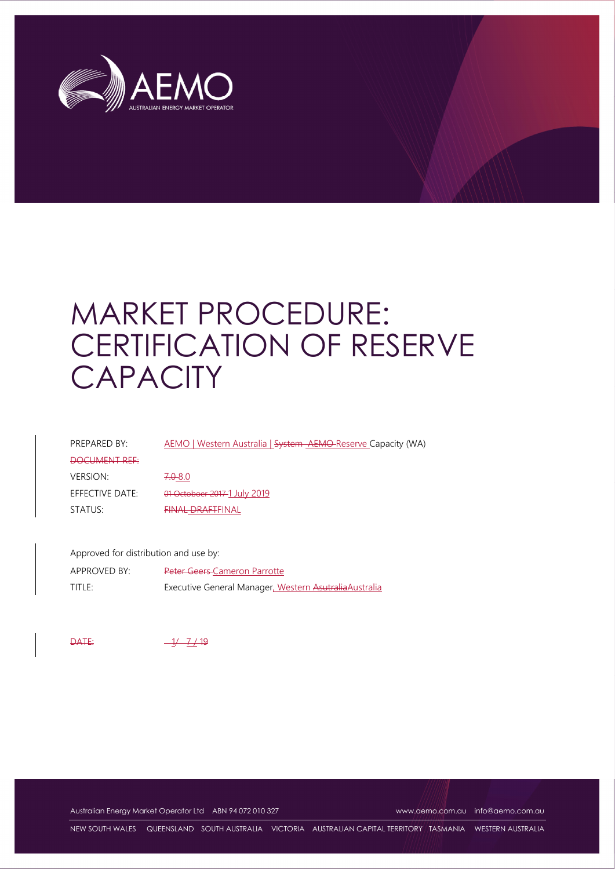

# MARKET PROCEDURE: CERTIFICATION OF RESERVE **CAPACITY**

| PREPARED BY:    | AEMO   Western Australia   System AEMO Reserve Capacity (WA) |
|-----------------|--------------------------------------------------------------|
| DOCUMENT REF    |                                                              |
| <b>VERSION:</b> | $7.0 - 8.0$                                                  |
| EFFECTIVE DATE: | 01 Octoboer 2017-1 July 2019                                 |
| STATUS:         | <b>FINAL DRAFTFINAL</b>                                      |
|                 |                                                              |

Approved for distribution and use by: APPROVED BY: Peter Geers Cameron Parrotte TITLE: Executive General Manager, Western AsutraliaAustralia

 $\overline{0}$  DATE:  $\frac{-1}{1}$  7/19

Australian Energy Market Operator Ltd ABN 94 072 010 327 www.aemo.com.au info@aemo.com.au

NEW SOUTH WALES QUEENSLAND SOUTH AUSTRALIA VICTORIA AUSTRALIAN CAPITAL TERRITORY TASMANIA WESTERN AUSTRALIA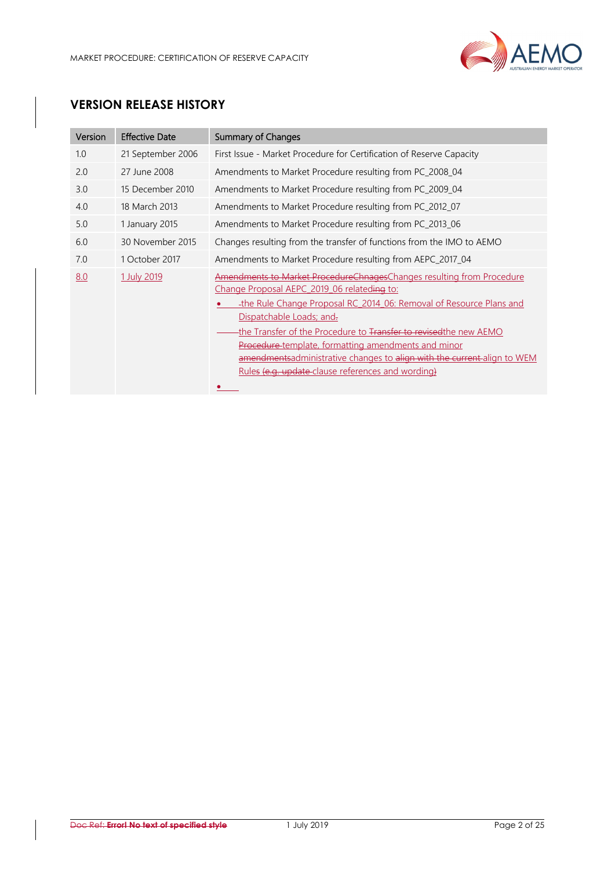

# **VERSION RELEASE HISTORY**

| Version | <b>Effective Date</b> | <b>Summary of Changes</b>                                                                                                                                                                                                                                                                                                                                                                                                                                                                         |
|---------|-----------------------|---------------------------------------------------------------------------------------------------------------------------------------------------------------------------------------------------------------------------------------------------------------------------------------------------------------------------------------------------------------------------------------------------------------------------------------------------------------------------------------------------|
| 1.0     | 21 September 2006     | First Issue - Market Procedure for Certification of Reserve Capacity                                                                                                                                                                                                                                                                                                                                                                                                                              |
| 2.0     | 27 June 2008          | Amendments to Market Procedure resulting from PC_2008_04                                                                                                                                                                                                                                                                                                                                                                                                                                          |
| 3.0     | 15 December 2010      | Amendments to Market Procedure resulting from PC_2009_04                                                                                                                                                                                                                                                                                                                                                                                                                                          |
| 4.0     | 18 March 2013         | Amendments to Market Procedure resulting from PC_2012_07                                                                                                                                                                                                                                                                                                                                                                                                                                          |
| 5.0     | 1 January 2015        | Amendments to Market Procedure resulting from PC_2013_06                                                                                                                                                                                                                                                                                                                                                                                                                                          |
| 6.0     | 30 November 2015      | Changes resulting from the transfer of functions from the IMO to AEMO                                                                                                                                                                                                                                                                                                                                                                                                                             |
| 7.0     | 1 October 2017        | Amendments to Market Procedure resulting from AEPC 2017 04                                                                                                                                                                                                                                                                                                                                                                                                                                        |
| 8.0     | 1 July 2019           | Amendments to Market ProcedureChnagesChanges resulting from Procedure<br>Change Proposal AEPC 2019 06 relateding to:<br>-the Rule Change Proposal RC 2014 06: Removal of Resource Plans and<br>Dispatchable Loads; and.<br>the Transfer of the Procedure to Transfer to revised the new AEMO<br><b>Procedure-template, formatting amendments and minor</b><br>amendmentsadministrative changes to align with the current-align to WEM<br><u>Rules (e.g. update clause references and wording)</u> |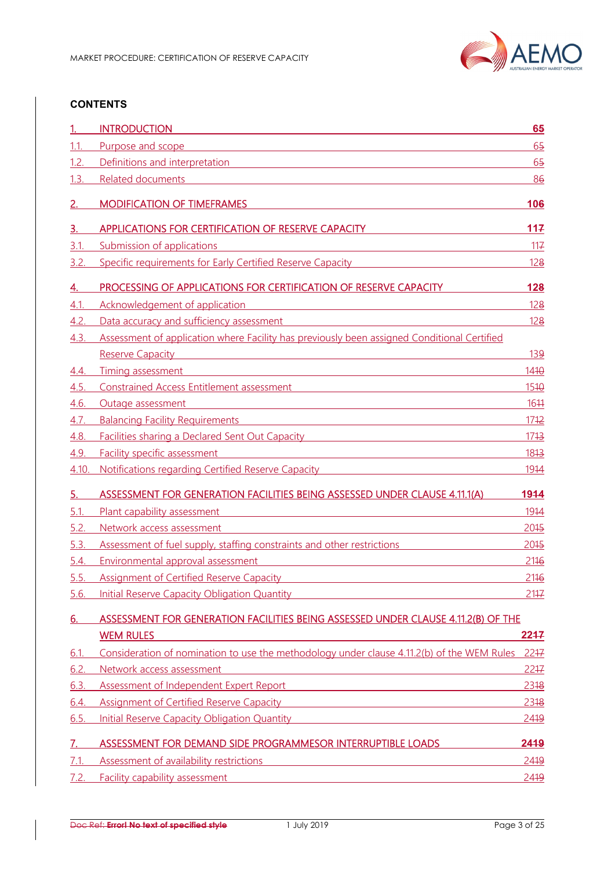

#### **CONTENTS**

|             | <b>INTRODUCTION</b>                                                                                                                                                                                                                                                                                            | 65             |
|-------------|----------------------------------------------------------------------------------------------------------------------------------------------------------------------------------------------------------------------------------------------------------------------------------------------------------------|----------------|
| 1.1.        | Purpose and scope                                                                                                                                                                                                                                                                                              | 65             |
| 1.2.        | Definitions and interpretation                                                                                                                                                                                                                                                                                 | 6 <sub>5</sub> |
| 1.3.        | <b>Related documents</b>                                                                                                                                                                                                                                                                                       | 86             |
| 2.          | <b>MODIFICATION OF TIMEFRAMES</b>                                                                                                                                                                                                                                                                              | 106            |
| 3.          | APPLICATIONS FOR CERTIFICATION OF RESERVE CAPACITY                                                                                                                                                                                                                                                             | 117            |
| 3.1.        | Submission of applications                                                                                                                                                                                                                                                                                     | 117            |
| 3.2.        | Specific requirements for Early Certified Reserve Capacity                                                                                                                                                                                                                                                     | <u>128</u>     |
| <u>4.</u>   | PROCESSING OF APPLICATIONS FOR CERTIFICATION OF RESERVE CAPACITY                                                                                                                                                                                                                                               | 128            |
| 4.1.        | Acknowledgement of application<br><u> 1989 - Andrea Station Barbara (h. 1989)</u>                                                                                                                                                                                                                              | <u>128</u>     |
| 4.2.        | Data accuracy and sufficiency assessment                                                                                                                                                                                                                                                                       | 128            |
| 4.3.        | Assessment of application where Facility has previously been assigned Conditional Certified                                                                                                                                                                                                                    |                |
|             | Reserve Capacity <b>Example 2018</b> Reserve Capacity                                                                                                                                                                                                                                                          | <u>139</u>     |
| 4.4.        | Timing assessment<br><u> 1989 - Johann Stoff, amerikansk politiker (d. 1989)</u>                                                                                                                                                                                                                               | 1410           |
| <u>4.5.</u> | Constrained Access Entitlement assessment contract to the state of the constrained Access Entitlement assessment                                                                                                                                                                                               | 1510           |
| 4.6.        | Outage assessment<br><u> 1980 - Johann Barn, mars ann an t-Amhain Aonaich an t-Aonaich an t-Aonaich an t-Aonaich an t-Aonaich an t-Aon</u>                                                                                                                                                                     | 1644           |
| 4.7.        | <b>Balancing Facility Requirements <i>Company Company Company Company Company Company Company Company Company Company</i></b>                                                                                                                                                                                  | 1712           |
| 4.8.        | <b>Facilities sharing a Declared Sent Out Capacity Example 2014</b>                                                                                                                                                                                                                                            | 1713           |
| 4.9.        | Facility specific assessment<br><u> 1980 - Andrea Station Barbara, amerikan personal (h. 1980).</u>                                                                                                                                                                                                            | 1813           |
| 4.10        | <u>Notifications regarding Certified Reserve Capacity</u>                                                                                                                                                                                                                                                      | <u>1914</u>    |
| <u>5.</u>   | ASSESSMENT FOR GENERATION FACILITIES BEING ASSESSED UNDER CLAUSE 4.11.1(A)                                                                                                                                                                                                                                     | 1944           |
| 5.1.        | Plant capability assessment<br><u> 1980 - Jan Barnett, fransk politiker (d. 1980)</u>                                                                                                                                                                                                                          | 1914           |
| 5.2.        | Network access assessment                                                                                                                                                                                                                                                                                      | 2045           |
| 5.3.        | Assessment of fuel supply, staffing constraints and other restrictions                                                                                                                                                                                                                                         | 2045           |
| <u>5.4.</u> | Environmental approval assessment                                                                                                                                                                                                                                                                              | 2116           |
| 5.5.        | <b>Assignment of Certified Reserve Capacity</b>                                                                                                                                                                                                                                                                | 2116           |
| 5.6.        | Initial Reserve Capacity Obligation Quantity <b>Capacity</b> And The Capacity Oriental Annual Control of the Capacity O                                                                                                                                                                                        | 2147           |
| <u>6.</u>   | ASSESSMENT FOR GENERATION FACILITIES BEING ASSESSED UNDER CLAUSE 4.11.2(B) OF THE                                                                                                                                                                                                                              |                |
|             | <b>WEM RULES</b>                                                                                                                                                                                                                                                                                               | 2247           |
| 6.1         | Consideration of nomination to use the methodology under clause 4.11.2(b) of the WEM Rules                                                                                                                                                                                                                     | 2247           |
| 6.2.        | Network access assessment<br><u> 1989 - Johann Stein, mars an de Francisco Barbara, marca e a contrador de la contrador de la contrador de la</u>                                                                                                                                                              | $22 + 7$       |
| 6.3.        | Assessment of Independent Expert Report<br><u> 1989 - Johann Barbara, martxa alemaniar amerikan a</u>                                                                                                                                                                                                          | 2318           |
| 6.4.        | Assignment of Certified Reserve Capacity <b>Assignment of Certified Reserve Capacity</b>                                                                                                                                                                                                                       | 2318           |
| 6.5.        | <u>Initial Reserve Capacity Obligation Quantity</u> and the control of the control of the control of the control of the control of the control of the control of the control of the control of the control of the control of the co                                                                            | 2419           |
|             |                                                                                                                                                                                                                                                                                                                |                |
| 7.          | ASSESSMENT FOR DEMAND SIDE PROGRAMMESOR INTERRUPTIBLE LOADS                                                                                                                                                                                                                                                    | 2419           |
| 7.1.        |                                                                                                                                                                                                                                                                                                                | 2419           |
| 7.2.        | Assessment of availability restrictions<br><u> 1989 - Johann Barn, mars ann an t-Amhain Aonaich an t-Aonaich an t-Aonaich an t-Aonaich an t-Aonaich an t-Aon</u><br><b>Facility capability assessment <i>CONTENTING</i> <b><i>CONTENTING CONTENTING CONTENTING CONTENTING</i> <b><i>CONTENTING</i></b></b></b> | 2419           |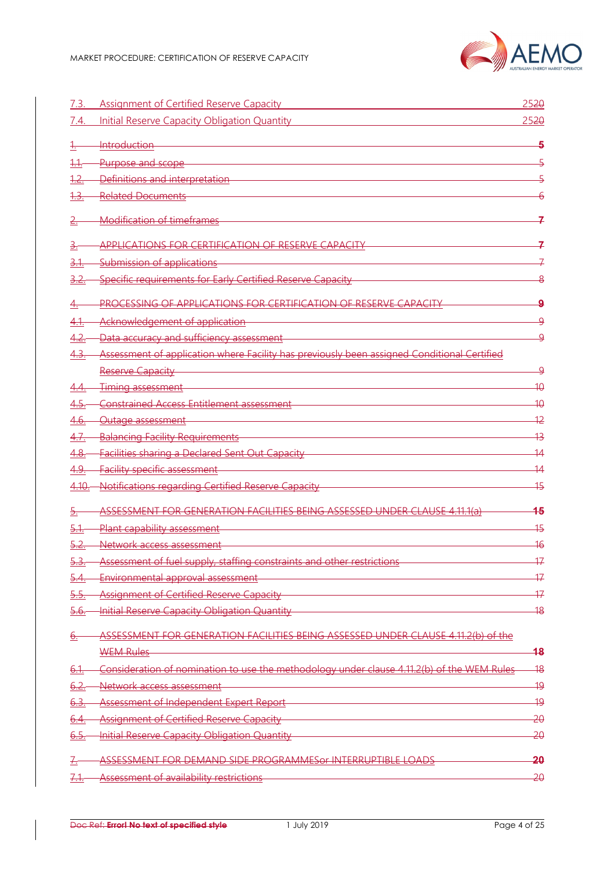

| 7.3.            | Assignment of Certified Reserve Capacity                                                    | 2520            |
|-----------------|---------------------------------------------------------------------------------------------|-----------------|
| 7.4.            | <b>Initial Reserve Capacity Obligation Quantity</b>                                         | 2520            |
|                 | <b>Introduction</b>                                                                         | 5               |
| 1.1.            | Purpose and scope                                                                           | 5               |
| 1.2.            | Definitions and interpretation                                                              |                 |
|                 | <b>Related Documents</b>                                                                    |                 |
|                 | <b>Modification of timeframes</b>                                                           |                 |
| <u>ਤੋ.</u>      | <b>APPLICATIONS FOR CERTIFICATION OF RESERVE CAPACITY</b>                                   |                 |
| <u>3.1.</u>     | Submission of applications                                                                  |                 |
|                 | Specific requirements for Early Certified Reserve Capacity                                  | 8               |
|                 | PROCESSING OF APPLICATIONS FOR CERTIFICATION OF RESERVE CAPACITY                            | 9               |
| <u>4.1.</u>     | Acknowledgement of application                                                              | <u>۹</u>        |
| 4.2.            | Data accuracy and sufficiency assessment                                                    | <u>۹</u>        |
| <u>4.3.</u>     | Assessment of application where Facility has previously been assigned Conditional Certified |                 |
|                 | Reserve Capacity                                                                            | <u>ႍ႖</u>       |
|                 | Timing assessment                                                                           | 40              |
|                 | Constrained Access Entitlement assessment                                                   | 40              |
| <u>4.6.</u>     | Outage assessment                                                                           | $\overline{12}$ |
| 4.7.            | <b>Balancing Facility Requirements</b>                                                      | 43              |
| 4.8.            | <b>Facilities sharing a Declared Sent Out Capacity</b>                                      | -14             |
| 4.9.            | <b>Facility specific assessment</b>                                                         | 14              |
| $4.10 -$        | Notifications regarding Certified Reserve Capacity                                          | 45              |
| <del>5.</del>   | ASSESSMENT FOR GENERATION FACILITIES BEING ASSESSED UNDER CLAUSE 4.11.1(a)                  | 45              |
| 5.1             | Plant capability assessment                                                                 | 45              |
|                 | Network access assessment                                                                   | 46              |
| <u>. 5.</u>     | Assessment of fuel supply, staffing constraints and other restrictions                      | 47              |
| <u>5.4.</u>     | Environmental approval assessment                                                           | 17              |
| 5.5.            | <b>Assignment of Certified Reserve Capacity</b>                                             | 17              |
| 5.6.            | Initial Reserve Capacity Obligation Quantity                                                | 18              |
| <u>ə.</u>       | ASSESSMENT FOR GENERATION FACILITIES BEING ASSESSED UNDER CLAUSE 4.11.2(b) of the           |                 |
|                 | <b>WEM Rules</b>                                                                            | 48              |
| <del>6.1.</del> | Consideration of nomination to use the methodology under clause 4.11.2(b) of the WEM Rules  | $\overline{48}$ |
| 6.2.            | Network access assessment                                                                   | 19              |
| 6.3.            | Assessment of Independent Expert Report                                                     | 49              |
| <u>6.4.</u>     | <b>Assignment of Certified Reserve Capacity</b>                                             | 20              |
| 6.5.            | Initial Reserve Capacity Obligation Quantity                                                | 20              |
| <u>7.</u>       | ASSESSMENT FOR DEMAND SIDE PROGRAMMES0r INTERRUPTIBLE LOADS                                 | <del>20</del>   |
|                 | Assessment of availability restrictions                                                     | 20              |
|                 |                                                                                             |                 |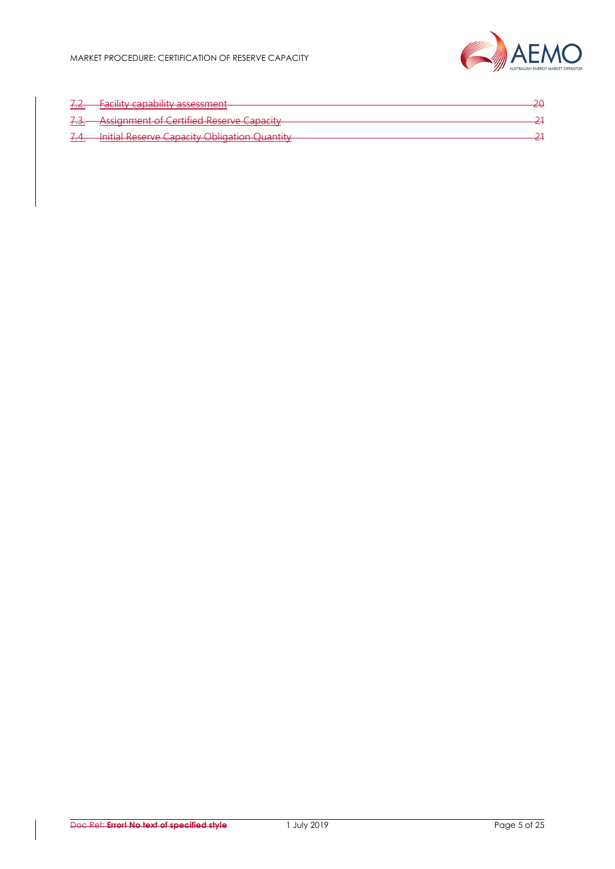

| 7.C.                  | Eacility canability accordent<br><del>a nacility capability assessment</del>                             | า∩ |
|-----------------------|----------------------------------------------------------------------------------------------------------|----|
| 72<br><del>1.J.</del> | <b>Assignment of Certified Reserve Capacity</b>                                                          |    |
| $\tau$ . $\tau$ .     | Initial Reserve Canacity Obligation Quantity<br><del>. million Reserve capacity Ophquilon Quantity</del> |    |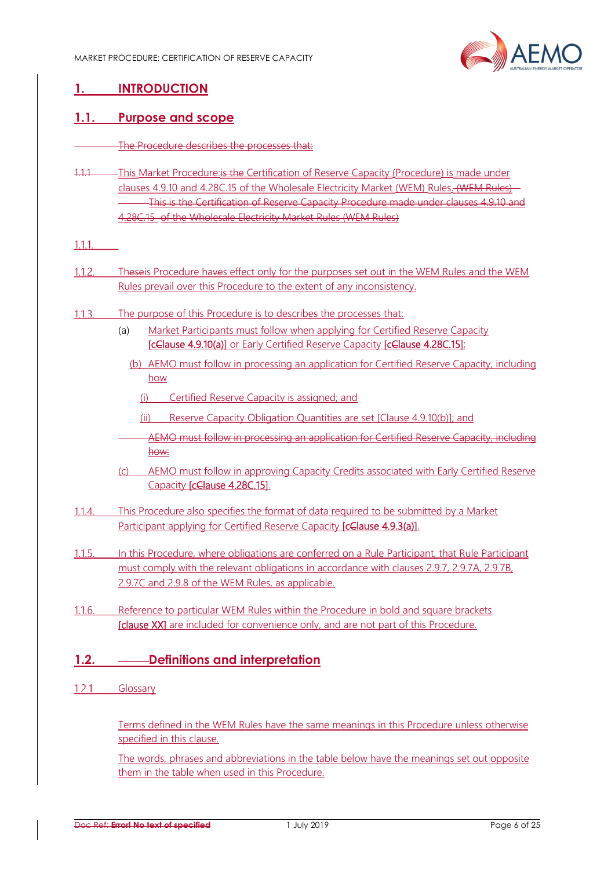

# **1. INTRODUCTION**

#### **1.1. Purpose and scope**

- The Procedure describes the processes that:
- 1.1.1 This Market Procedure: is the Certification of Reserve Capacity (Procedure) is made under clauses 4.9.10 and 4.28C.15 of the Wholesale Electricity Market (WEM) Rules. (WEM Rules) This is the Certification of Reserve Capacity Procedure made under clauses 4.9.10 and 4.28C.15 of the Wholesale Electricity Market Rules (WEM Rules)

 $1.1.1$ 

- $1.1.2.$ Theseis Procedure haves effect only for the purposes set out in the WEM Rules and the WEM Rules prevail over this Procedure to the extent of any inconsistency.
- The purpose of this Procedure is to describes the processes that:  $1.1.3$ 
	- (a) Market Participants must follow when applying for Certified Reserve Capacity [cClause 4.9.10(a)] or Early Certified Reserve Capacity [cClause 4.28C.15];
		- (b) AEMO must follow in processing an application for Certified Reserve Capacity, including how
			- (i) Certified Reserve Capacity is assigned; and
			- (ii) Reserve Capacity Obligation Quantities are set [Clause 4.9.10(b)]; and
		- AEMO must follow in processing an application for Certified Reserve Capacity, including how:
	- (c) AEMO must follow in approving Capacity Credits associated with Early Certified Reserve Capacity [cClause 4.28C.15].
- This Procedure also specifies the format of data required to be submitted by a Market  $1.1.4.$ Participant applying for Certified Reserve Capacity **[cClause 4.9.3(a)]**.
- In this Procedure, where obligations are conferred on a Rule Participant, that Rule Participant  $1.1.5.$ must comply with the relevant obligations in accordance with clauses 2.9.7, 2.9.7A, 2.9.7B, 2.9.7C and 2.9.8 of the WEM Rules, as applicable.
- $1.16$ Reference to particular WEM Rules within the Procedure in bold and square brackets [clause XX] are included for convenience only, and are not part of this Procedure.

#### **1.2. Definitions and interpretation**

1.2.1. Glossary

Terms defined in the WEM Rules have the same meanings in this Procedure unless otherwise specified in this clause.

The words, phrases and abbreviations in the table below have the meanings set out opposite them in the table when used in this Procedure.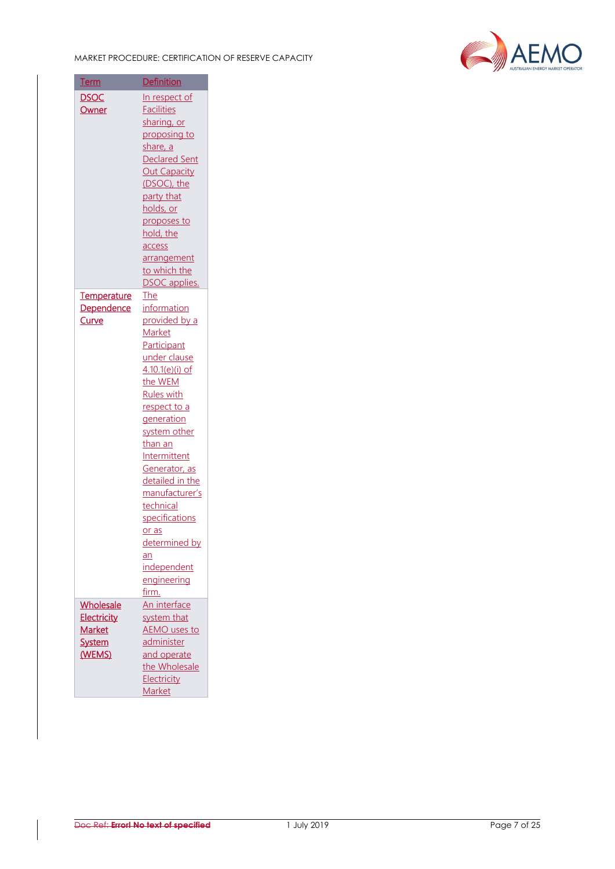

| <u>Term</u>        | <b>Definition</b>    |
|--------------------|----------------------|
| <b>DSOC</b>        | In respect of        |
| Owner              | <b>Facilities</b>    |
|                    | sharing, or          |
|                    | proposing to         |
|                    | share, a             |
|                    | <b>Declared Sent</b> |
|                    | <b>Out Capacity</b>  |
|                    | (DSOC), the          |
|                    | party that           |
|                    | holds, or            |
|                    | proposes to          |
|                    | hold, the            |
|                    | access               |
|                    | arrangement          |
|                    | to which the         |
|                    | <b>DSOC</b> applies. |
| <b>Temperature</b> | The                  |
| <b>Dependence</b>  | information          |
| <b>Curve</b>       | provided by a        |
|                    | Market               |
|                    | Participant          |
|                    | under clause         |
|                    | 4.10.1(e)(i) of      |
|                    | the WEM              |
|                    | <b>Rules with</b>    |
|                    | respect to a         |
|                    | generation           |
|                    | system other         |
|                    | <u>than an</u>       |
|                    | Intermittent         |
|                    | Generator, as        |
|                    | detailed in the      |
|                    | manufacturer's       |
|                    | technical            |
|                    | specifications       |
|                    | or as                |
|                    | determined by        |
|                    | an                   |
|                    | <i>independent</i>   |
|                    | engineering          |
|                    | firm.                |
| Wholesale          | An interface         |
| Electricity        | system that          |
| <b>Market</b>      | <b>AEMO</b> uses to  |
| <b>System</b>      | administer           |
| (WEMS)             | and operate          |
|                    | the Wholesale        |
|                    | Electricity          |
|                    | Market               |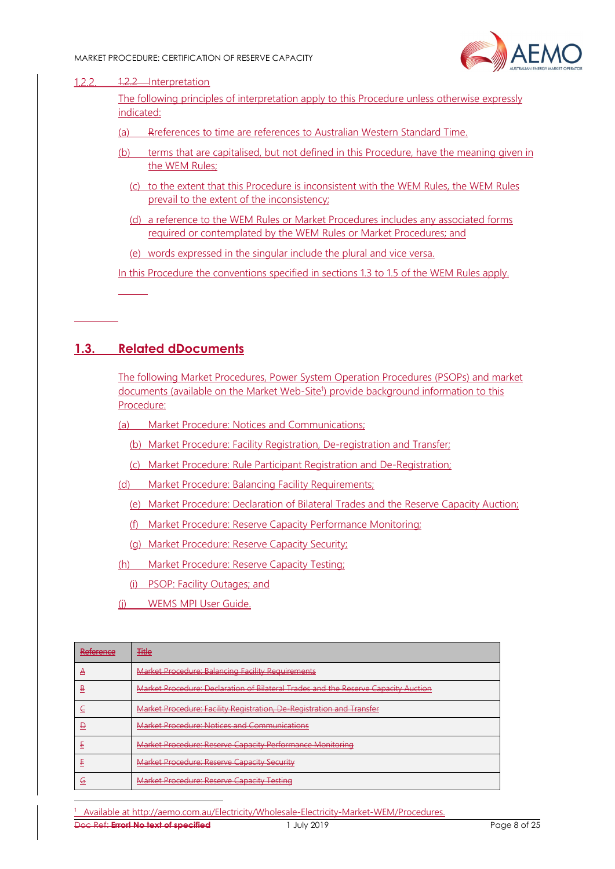

#### $1.2.2.$ 1.2.2 Interpretation

The following principles of interpretation apply to this Procedure unless otherwise expressly indicated:

- (a) Rreferences to time are references to Australian Western Standard Time.
- (b) terms that are capitalised, but not defined in this Procedure, have the meaning given in the WEM Rules;
	- (c) to the extent that this Procedure is inconsistent with the WEM Rules, the WEM Rules prevail to the extent of the inconsistency;
	- (d) a reference to the WEM Rules or Market Procedures includes any associated forms required or contemplated by the WEM Rules or Market Procedures; and

(e) words expressed in the singular include the plural and vice versa.

In this Procedure the conventions specified in sections 1.3 to 1.5 of the WEM Rules apply.

#### **1.3. Related dDocuments**

The following Market Procedures, Power System Operation Procedures (PSOPs) and market documents (available on the Market Web-Site<sup>1</sup>) provide background information to this Procedure:

- (a) Market Procedure: Notices and Communications;
	- (b) Market Procedure: Facility Registration, De-registration and Transfer;
	- (c) Market Procedure: Rule Participant Registration and De-Registration;
- (d) Market Procedure: Balancing Facility Requirements;
	- (e) Market Procedure: Declaration of Bilateral Trades and the Reserve Capacity Auction;
	- (f) Market Procedure: Reserve Capacity Performance Monitoring;
	- (g) Market Procedure: Reserve Capacity Security;
- (h) Market Procedure: Reserve Capacity Testing;
	- (i) PSOP: Facility Outages; and
- (j) WEMS MPI User Guide.

| <u>Doforonco</u><br>n <del>cici cricc</del> | <b>Title</b><br><del>11110</del>                                                   |
|---------------------------------------------|------------------------------------------------------------------------------------|
| −                                           | <b>Market Procedure: Balancing Facility Requirements</b>                           |
| ₿                                           | Market Procedure: Declaration of Bilateral Trades and the Reserve Capacity Auction |
|                                             | Market Procedure: Facility Registration, De-Registration and Transfer              |
|                                             | <b>Market Procedure: Notices and Communications</b>                                |
| ŧ                                           | Market Procedure: Reserve Capacity Performance Monitoring                          |
|                                             | Market Procedure: Reserve Capacity Security                                        |
| ⊌                                           | Market Procedure: Reserve Capacity Testing                                         |

Doc Ref: **Error! No text of specified** 1 July 2019 Page 8 of 25 1 Available at http://aemo.com.au/Electricity/Wholesale-Electricity-Market-WEM/Procedures.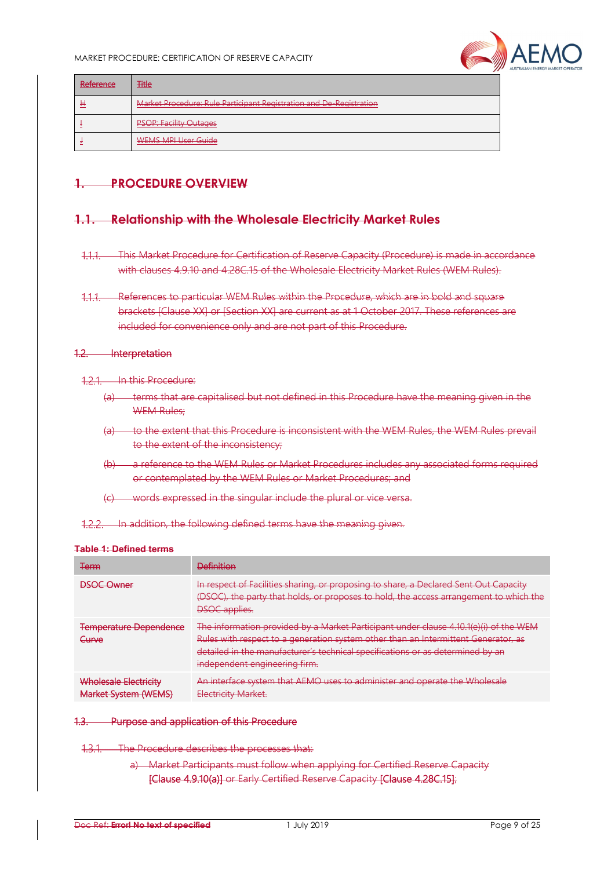

| Reference<br><b>INVESTIGATION</b> | <b>Title</b>                                                        |
|-----------------------------------|---------------------------------------------------------------------|
| Ħ                                 | Market Procedure: Rule Participant Registration and De-Registration |
|                                   | <b>PSOP: Facility Outages</b>                                       |
|                                   | <b>WEMS MPI User Guide</b>                                          |

#### **1. PROCEDURE OVERVIEW**

#### **1.1. Relationship with the Wholesale Electricity Market Rules**

This Market Procedure for Certification of Reserve Capacity (Procedure) is made in accordance with clauses 4.9.10 and 4.28C.15 of the Wholesale Electricity Market Rules (WEM Rules).

#### 1.2. Interpretation

121 In this Procedure:

- (a) terms that are capitalised but not defined in this Procedure have the meaning given in the WEM Rules:
- (a) to the extent that this Procedure is inconsistent with the WEM Rules, the WEM Rules prevail to the extent of the inconsistency;
- (b) a reference to the WEM Rules or Market Procedures includes any associated forms required or contemplated by the WEM Rules or Market Procedures; and
- (c) words expressed in the singular include the plural or vice versa.

1.2.2. In addition, the following defined terms have the meaning given.

#### **Table 1: Defined terms**

| <b>Term</b>                                                 | <b>Definition</b>                                                                                                                                                                                                                                                                                |
|-------------------------------------------------------------|--------------------------------------------------------------------------------------------------------------------------------------------------------------------------------------------------------------------------------------------------------------------------------------------------|
| <b>DSOC Owner</b>                                           | In respect of Facilities sharing, or proposing to share, a Declared Sent Out Capacity<br>(DSOC), the party that holds, or proposes to hold, the access arrangement to which the<br><b>DSOC</b> applies.                                                                                          |
| <b>Temperature Dependence</b><br>Curve                      | The information provided by a Market Participant under clause $4.10.1(e)(i)$ of the WEM<br>Rules with respect to a generation system other than an Intermittent Generator, as<br>detailed in the manufacturer's technical specifications or as determined by an<br>independent engineering firm. |
| <b>Wholesale Electricity</b><br><b>Market System (WEMS)</b> | An interface system that AEMO uses to administer and operate the Wh-<br>Electricity Market.                                                                                                                                                                                                      |

#### 1.3. Purpose and application of this Procedure

1.3.1. The Procedure describes the processes that:

a) Market Participants must follow when applying for Certified Reserve Capacity [Clause 4.9.10(a)] or Early Certified Reserve Capacity [Clause 4.28C.15];

<sup>1.1.1.</sup> References to particular WEM Rules within the Procedure, which are in bold and square brackets [Clause XX] or [Section XX] are current as at 1 October 2017. These references are included for convenience only and are not part of this Procedure.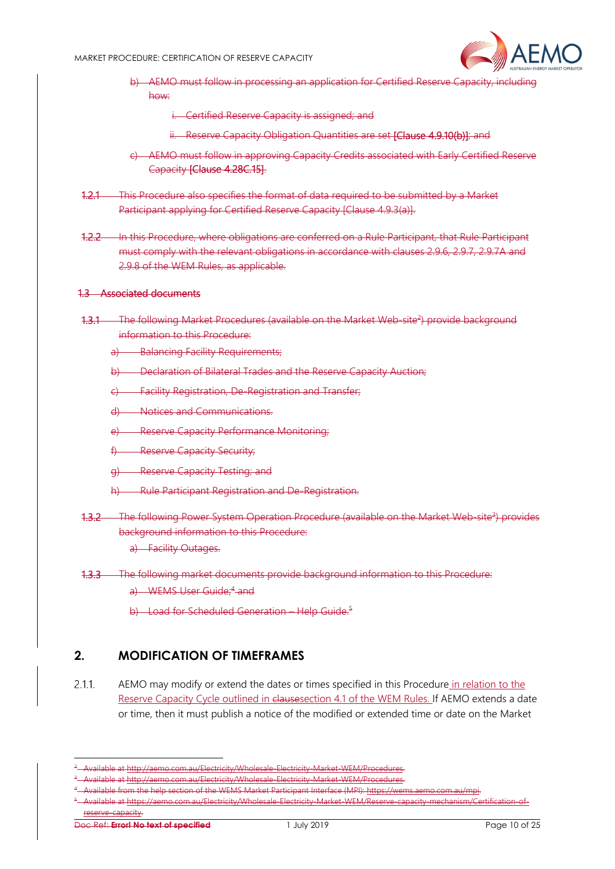

- b) AEMO must follow in processing an application for Certified Reserve Capacity, including how:
	- i. Certified Reserve Capacity is assigned; and
	- ii. Reserve Capacity Obligation Quantities are set [Clause 4.9.10(b)]; and
- c) AEMO must follow in approving Capacity Credits associated with Early Certified Reserve Capacity [Clause 4.28C.15].
- 1.2.1 This Procedure also specifies the format of data required to be submitted by a Market Participant applying for Certified Reserve Capacity [Clause 4.9.3(a)].
- 1.2.2 In this Procedure, where obligations are conferred on a Rule Participant, that Rule Participant must comply with the relevant obligations in accordance with clauses 2.9.6, 2.9.7, 2.9.7A and 2.9.8 of the WEM Rules, as applicable.

#### 1.3 Associated documents

- 1.3.1 The following Market Procedures (available on the Market Web-site<sup>2</sup>) provide background information to this Procedure:
	- a) Balancing Facility Requirements;
	- b) Declaration of Bilateral Trades and the Reserve Capacity Auction;
	- c) Facility Registration, De-Registration and Transfer;
	- d) Notices and Communications.
	- e) Reserve Capacity Performance Monitoring;
	- f) Reserve Capacity Security;
	- g) Reserve Capacity Testing; and
	- h) Rule Participant Registration and De-Registration.
- 1.3.2 The following Power System Operation Procedure (available on the Market Web-site<sup>3</sup>) provides background information to this Procedure:
	- a) Facility Outages.
- 1.3.3 The following market documents provide background information to this Procedure:
	- a) WEMS User Guide<sup>:4</sup> and
	- b) Load for Scheduled Generation Help Guide.<sup>5</sup>

#### **2. MODIFICATION OF TIMEFRAMES**

 $2.1.1$ AEMO may modify or extend the dates or times specified in this Procedure in relation to the Reserve Capacity Cycle outlined in clausesection 4.1 of the WEM Rules. If AEMO extends a date or time, then it must publish a notice of the modified or extended time or date on the Market

<sup>2</sup> <sup>2</sup> - Available at <u>http://aemo.com.au/Electricity/Wholesale-Electricity-Market-WEM/Procedures</u>.<br><sup>3</sup> - Available at http://aemo.com.au/Electricity/Mholesale-Electricity-Market-WEM/Procedures.

<sup>&</sup>lt;sup>3</sup> - Available at <u>http://aemo.com.au/Electricity/Wholesale-Electricity-Market-WEM/Procedures</u>.<br><sup>4</sup> - Available from the help section of the WEMS Market Participant Interface (MPI): https://wen

vailable from the help section of the WEMS Market Participant Interface (MPI): <u>https://wen</u> Available at https://aemo.com.au/Electricity/Wholesale-Electricity-Market-WEM/Reserve-capacity-mechanism/Certification-ofreserve-capacity.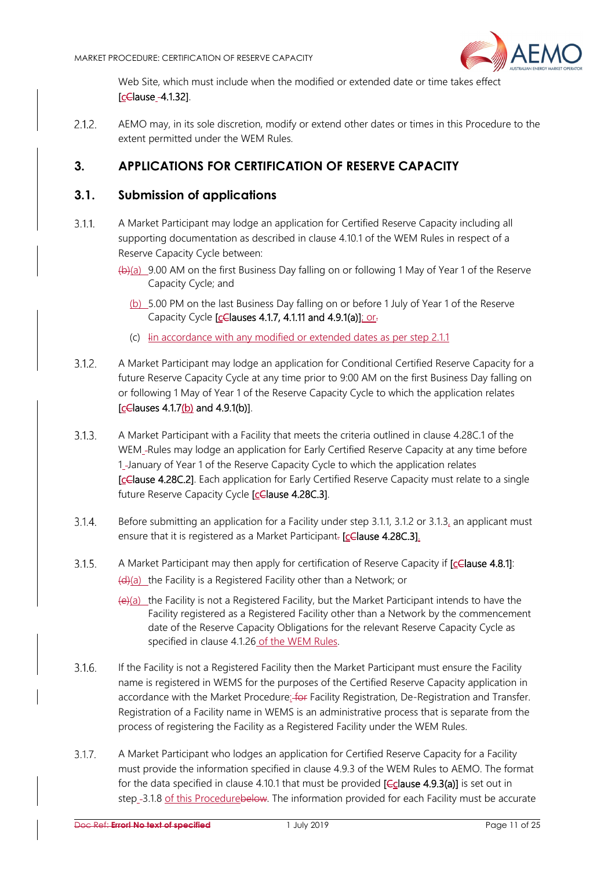

Web Site, which must include when the modified or extended date or time takes effect [celause\_-4.1.32].

 $2.1.2.$ AEMO may, in its sole discretion, modify or extend other dates or times in this Procedure to the extent permitted under the WEM Rules.

# **3. APPLICATIONS FOR CERTIFICATION OF RESERVE CAPACITY**

#### **3.1. Submission of applications**

- $3.1.1$ A Market Participant may lodge an application for Certified Reserve Capacity including all supporting documentation as described in clause 4.10.1 of the WEM Rules in respect of a Reserve Capacity Cycle between:
	- $(b)$ (a) 9.00 AM on the first Business Day falling on or following 1 May of Year 1 of the Reserve Capacity Cycle; and
		- (b) 5.00 PM on the last Business Day falling on or before 1 July of Year 1 of the Reserve Capacity Cycle [celauses 4.1.7, 4.1.11 and 4.9.1(a)]; or-
		- (c) Iin accordance with any modified or extended dates as per step 2.1.1
- A Market Participant may lodge an application for Conditional Certified Reserve Capacity for a  $3.1.2.$ future Reserve Capacity Cycle at any time prior to 9:00 AM on the first Business Day falling on or following 1 May of Year 1 of the Reserve Capacity Cycle to which the application relates  $[cC$  auses 4.1.7(b) and 4.9.1(b)].
- $3.1.3.$ A Market Participant with a Facility that meets the criteria outlined in clause 4.28C.1 of the WEM\_-Rules may lodge an application for Early Certified Reserve Capacity at any time before 1-January of Year 1 of the Reserve Capacity Cycle to which the application relates [cClause 4.28C.2]. Each application for Early Certified Reserve Capacity must relate to a single future Reserve Capacity Cycle [celause 4.28C.3].
- $3.1.4.$ Before submitting an application for a Facility under step 3.1.1, 3.1.2 or 3.1.3, an applicant must ensure that it is registered as a Market Participant. [cClause 4.28C.3].
- $3.1.5.$ A Market Participant may then apply for certification of Reserve Capacity if [celause 4.8.1]: (d)(a) the Facility is a Registered Facility other than a Network; or
	- $(e)(a)$  the Facility is not a Registered Facility, but the Market Participant intends to have the Facility registered as a Registered Facility other than a Network by the commencement date of the Reserve Capacity Obligations for the relevant Reserve Capacity Cycle as specified in clause 4.1.26 of the WEM Rules.
- $3.1.6.$ If the Facility is not a Registered Facility then the Market Participant must ensure the Facility name is registered in WEMS for the purposes of the Certified Reserve Capacity application in accordance with the Market Procedure: for Facility Registration, De-Registration and Transfer. Registration of a Facility name in WEMS is an administrative process that is separate from the process of registering the Facility as a Registered Facility under the WEM Rules.
- $3.1.7$ A Market Participant who lodges an application for Certified Reserve Capacity for a Facility must provide the information specified in clause 4.9.3 of the WEM Rules to AEMO. The format for the data specified in clause 4.10.1 that must be provided [Cclause 4.9.3(a)] is set out in step -3.1.8 of this Procedurebelow. The information provided for each Facility must be accurate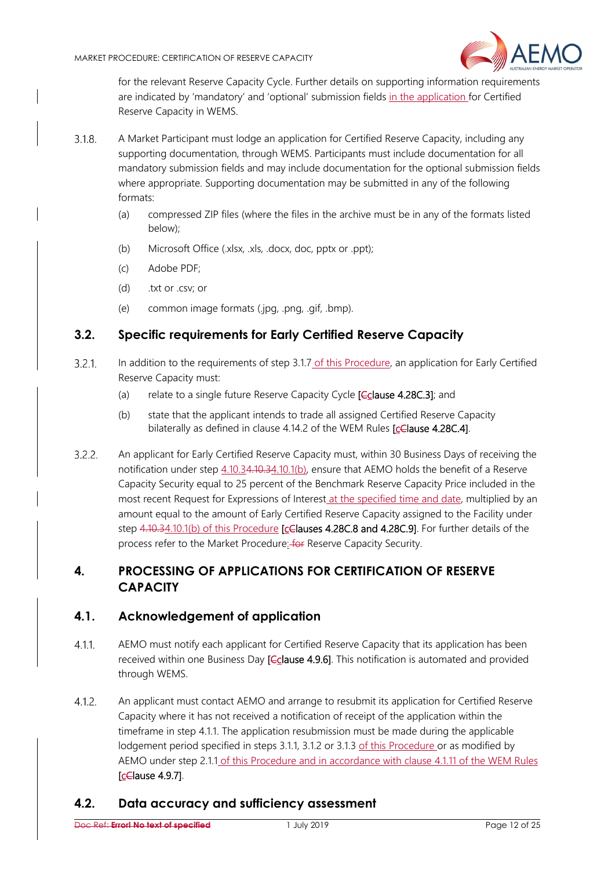

for the relevant Reserve Capacity Cycle. Further details on supporting information requirements are indicated by 'mandatory' and 'optional' submission fields in the application for Certified Reserve Capacity in WEMS.

- $3.1.8.$ A Market Participant must lodge an application for Certified Reserve Capacity, including any supporting documentation, through WEMS. Participants must include documentation for all mandatory submission fields and may include documentation for the optional submission fields where appropriate. Supporting documentation may be submitted in any of the following formats:
	- (a) compressed ZIP files (where the files in the archive must be in any of the formats listed below);
	- (b) Microsoft Office (.xlsx, .xls, .docx, doc, pptx or .ppt);
	- (c) Adobe PDF;
	- (d) .txt or .csv; or
	- (e) common image formats (.jpg, .png, .gif, .bmp).

#### **3.2. Specific requirements for Early Certified Reserve Capacity**

- $3.2.1$ In addition to the requirements of step 3.1.7 of this Procedure, an application for Early Certified Reserve Capacity must:
	- (a) relate to a single future Reserve Capacity Cycle  $[**C**$ clause 4.28C.3]; and
	- (b) state that the applicant intends to trade all assigned Certified Reserve Capacity bilaterally as defined in clause 4.14.2 of the WEM Rules [celause 4.28C.4].
- $3.2.2.$ An applicant for Early Certified Reserve Capacity must, within 30 Business Days of receiving the notification under step 4.10.34.10.34.10.1(b), ensure that AEMO holds the benefit of a Reserve Capacity Security equal to 25 percent of the Benchmark Reserve Capacity Price included in the most recent Request for Expressions of Interest at the specified time and date, multiplied by an amount equal to the amount of Early Certified Reserve Capacity assigned to the Facility under step 4.10.34.10.1(b) of this Procedure **[celauses 4.28C.8 and 4.28C.9]**. For further details of the process refer to the Market Procedure: for Reserve Capacity Security.

#### **4. PROCESSING OF APPLICATIONS FOR CERTIFICATION OF RESERVE CAPACITY**

#### **4.1. Acknowledgement of application**

- $4.1.1.$ AEMO must notify each applicant for Certified Reserve Capacity that its application has been received within one Business Day [Cclause 4.9.6]. This notification is automated and provided through WEMS.
- $4.1.2$ An applicant must contact AEMO and arrange to resubmit its application for Certified Reserve Capacity where it has not received a notification of receipt of the application within the timeframe in step 4.1.1. The application resubmission must be made during the applicable lodgement period specified in steps 3.1.1, 3.1.2 or 3.1.3 of this Procedure or as modified by AEMO under step 2.1.1 of this Procedure and in accordance with clause 4.1.11 of the WEM Rules [cClause 4.9.7].

#### **4.2. Data accuracy and sufficiency assessment**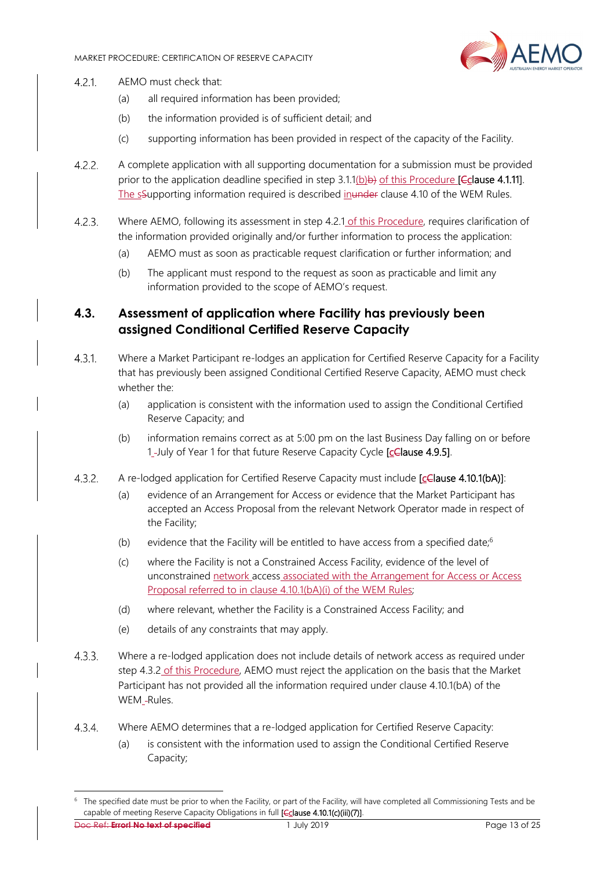

- $4.2.1$ . AEMO must check that:
	- (a) all required information has been provided;
	- (b) the information provided is of sufficient detail; and
	- (c) supporting information has been provided in respect of the capacity of the Facility.
- $4.2.2.$ A complete application with all supporting documentation for a submission must be provided prior to the application deadline specified in step  $3.1(1(b)\oplus)$  of this Procedure **[Cclause 4.1.11**]. The sSupporting information required is described inunder clause 4.10 of the WEM Rules.
- $4.2.3.$ Where AEMO, following its assessment in step 4.2.1 of this Procedure, requires clarification of the information provided originally and/or further information to process the application:
	- (a) AEMO must as soon as practicable request clarification or further information; and
	- (b) The applicant must respond to the request as soon as practicable and limit any information provided to the scope of AEMO's request.

#### **4.3. Assessment of application where Facility has previously been assigned Conditional Certified Reserve Capacity**

- Where a Market Participant re-lodges an application for Certified Reserve Capacity for a Facility  $4.3.1.$ that has previously been assigned Conditional Certified Reserve Capacity, AEMO must check whether the:
	- (a) application is consistent with the information used to assign the Conditional Certified Reserve Capacity; and
	- (b) information remains correct as at 5:00 pm on the last Business Day falling on or before 1-July of Year 1 for that future Reserve Capacity Cycle [celause 4.9.5].
- $4.3.2.$ A re-lodged application for Certified Reserve Capacity must include [celause 4.10.1(bA)]:
	- (a) evidence of an Arrangement for Access or evidence that the Market Participant has accepted an Access Proposal from the relevant Network Operator made in respect of the Facility;
	- (b) evidence that the Facility will be entitled to have access from a specified date; $6$
	- (c) where the Facility is not a Constrained Access Facility, evidence of the level of unconstrained network access associated with the Arrangement for Access or Access Proposal referred to in clause 4.10.1(bA)(i) of the WEM Rules;
	- (d) where relevant, whether the Facility is a Constrained Access Facility; and
	- (e) details of any constraints that may apply.
- $4.3.3.$ Where a re-lodged application does not include details of network access as required under step 4.3.2 of this Procedure, AEMO must reject the application on the basis that the Market Participant has not provided all the information required under clause 4.10.1(bA) of the WEM -Rules.
- $4.3.4.$ Where AEMO determines that a re-lodged application for Certified Reserve Capacity:
	- (a) is consistent with the information used to assign the Conditional Certified Reserve Capacity;

Doc Ref: **Error! No text of specified** 1 July 2019 Page 13 of 25 <sup>6</sup> The specified date must be prior to when the Facility, or part of the Facility, will have completed all Commissioning Tests and be capable of meeting Reserve Capacity Obligations in full [Cclause 4.10.1(c)(iii)(7)].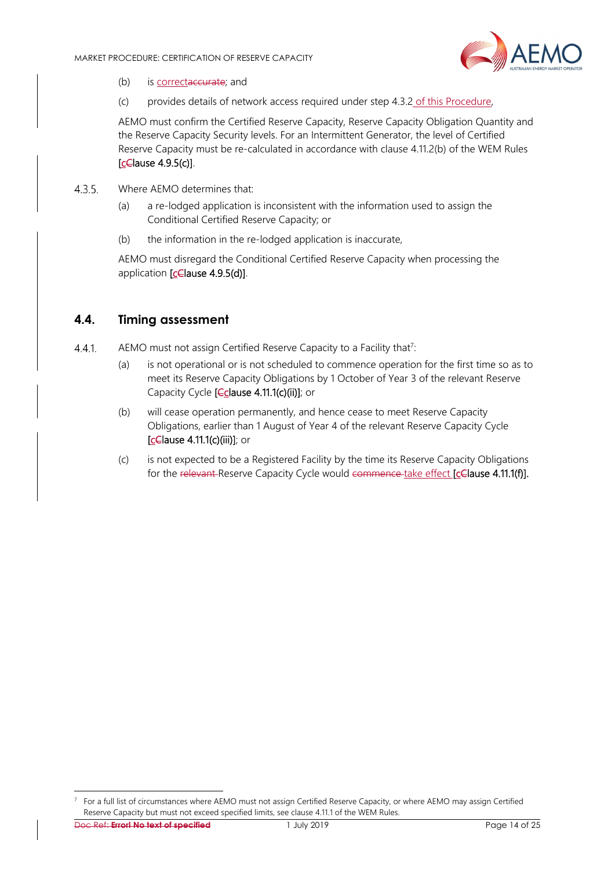

- (b) is correctaceurate; and
- (c) provides details of network access required under step 4.3.2 of this Procedure,

AEMO must confirm the Certified Reserve Capacity, Reserve Capacity Obligation Quantity and the Reserve Capacity Security levels. For an Intermittent Generator, the level of Certified Reserve Capacity must be re-calculated in accordance with clause 4.11.2(b) of the WEM Rules [cClause 4.9.5(c)].

- 435 Where AFMO determines that:
	- (a) a re-lodged application is inconsistent with the information used to assign the Conditional Certified Reserve Capacity; or
	- (b) the information in the re-lodged application is inaccurate,

AEMO must disregard the Conditional Certified Reserve Capacity when processing the application [celause 4.9.5(d)].

#### **4.4. Timing assessment**

- $441$ AEMO must not assign Certified Reserve Capacity to a Facility that<sup>7</sup>:
	- (a) is not operational or is not scheduled to commence operation for the first time so as to meet its Reserve Capacity Obligations by 1 October of Year 3 of the relevant Reserve Capacity Cycle [*Cclause 4.11.1(c)(ii)]*; or
	- (b) will cease operation permanently, and hence cease to meet Reserve Capacity Obligations, earlier than 1 August of Year 4 of the relevant Reserve Capacity Cycle [cClause 4.11.1(c)(iii)]; or
	- (c) is not expected to be a Registered Facility by the time its Reserve Capacity Obligations for the relevant-Reserve Capacity Cycle would commence take effect [cClause 4.11.1(f)].

Doc Ref: **Error! No text of specified** 1 July 2019 Page 14 of 25

 $7$  For a full list of circumstances where AEMO must not assign Certified Reserve Capacity, or where AEMO may assign Certified Reserve Capacity but must not exceed specified limits, see clause 4.11.1 of the WEM Rules.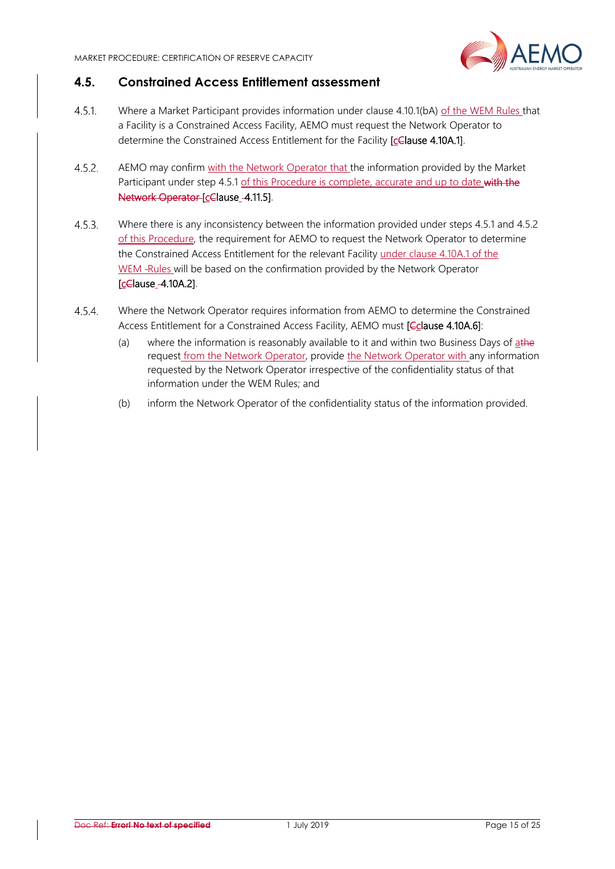

#### **4.5. Constrained Access Entitlement assessment**

- $4.5.1$ Where a Market Participant provides information under clause 4.10.1(bA) of the WEM Rules that a Facility is a Constrained Access Facility, AEMO must request the Network Operator to determine the Constrained Access Entitlement for the Facility [cClause 4.10A.1].
- $4.5.2.$ AEMO may confirm with the Network Operator that the information provided by the Market Participant under step 4.5.1 of this Procedure is complete, accurate and up to date with the Network Operator [cClause - 4.11.5].
- $4.5.3.$ Where there is any inconsistency between the information provided under steps 4.5.1 and 4.5.2 of this Procedure, the requirement for AEMO to request the Network Operator to determine the Constrained Access Entitlement for the relevant Facility under clause 4.10A.1 of the WEM -Rules will be based on the confirmation provided by the Network Operator [cClause 4.10A.2].
- $4.5.4.$ Where the Network Operator requires information from AEMO to determine the Constrained Access Entitlement for a Constrained Access Facility, AEMO must [Cclause 4.10A.6]:
	- (a) where the information is reasonably available to it and within two Business Days of athe request from the Network Operator, provide the Network Operator with any information requested by the Network Operator irrespective of the confidentiality status of that information under the WEM Rules; and
	- (b) inform the Network Operator of the confidentiality status of the information provided.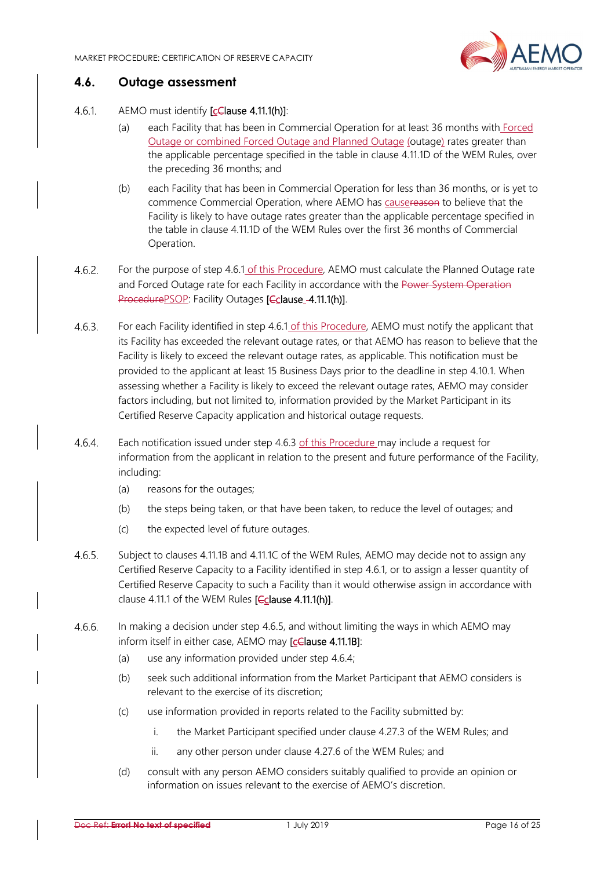

#### **4.6. Outage assessment**

#### 461 AEMO must identify [cClause 4.11.1(h)]:

- (a) each Facility that has been in Commercial Operation for at least 36 months with Forced Outage or combined Forced Outage and Planned Outage (outage) rates greater than the applicable percentage specified in the table in clause 4.11.1D of the WEM Rules, over the preceding 36 months; and
- (b) each Facility that has been in Commercial Operation for less than 36 months, or is yet to commence Commercial Operation, where AEMO has causereason to believe that the Facility is likely to have outage rates greater than the applicable percentage specified in the table in clause 4.11.1D of the WEM Rules over the first 36 months of Commercial Operation.
- $4.6.2$ For the purpose of step 4.6.1 of this Procedure, AEMO must calculate the Planned Outage rate and Forced Outage rate for each Facility in accordance with the Power System Operation ProcedurePSOP: Facility Outages [Cclause -4.11.1(h)].
- $4.6.3.$ For each Facility identified in step 4.6.1 of this Procedure, AEMO must notify the applicant that its Facility has exceeded the relevant outage rates, or that AEMO has reason to believe that the Facility is likely to exceed the relevant outage rates, as applicable. This notification must be provided to the applicant at least 15 Business Days prior to the deadline in step 4.10.1. When assessing whether a Facility is likely to exceed the relevant outage rates, AEMO may consider factors including, but not limited to, information provided by the Market Participant in its Certified Reserve Capacity application and historical outage requests.
- $4.6.4.$ Each notification issued under step 4.6.3 of this Procedure may include a request for information from the applicant in relation to the present and future performance of the Facility, including:
	- (a) reasons for the outages;
	- (b) the steps being taken, or that have been taken, to reduce the level of outages; and
	- (c) the expected level of future outages.
- $4.6.5.$ Subject to clauses 4.11.1B and 4.11.1C of the WEM Rules, AEMO may decide not to assign any Certified Reserve Capacity to a Facility identified in step 4.6.1, or to assign a lesser quantity of Certified Reserve Capacity to such a Facility than it would otherwise assign in accordance with clause 4.11.1 of the WEM Rules [Cclause 4.11.1(h)].
- In making a decision under step 4.6.5, and without limiting the ways in which AEMO may  $4.6.6.$ inform itself in either case, AEMO may [celause 4.11.1B]:
	- (a) use any information provided under step 4.6.4;
	- (b) seek such additional information from the Market Participant that AEMO considers is relevant to the exercise of its discretion;
	- (c) use information provided in reports related to the Facility submitted by:
		- i. the Market Participant specified under clause 4.27.3 of the WEM Rules; and
		- ii. any other person under clause 4.27.6 of the WEM Rules; and
	- (d) consult with any person AEMO considers suitably qualified to provide an opinion or information on issues relevant to the exercise of AEMO's discretion.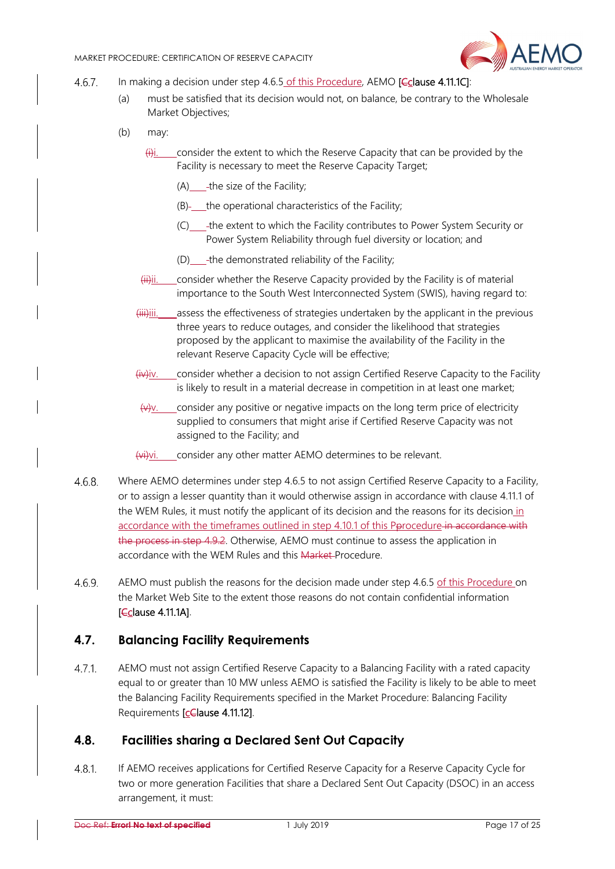

- $4.6.7.$ In making a decision under step 4.6.5 of this Procedure, AEMO **[Cclause 4.11.1C**]:
	- (a) must be satisfied that its decision would not, on balance, be contrary to the Wholesale Market Objectives;
	- (b) may:
		- $\ddot{\theta}$ i. consider the extent to which the Reserve Capacity that can be provided by the Facility is necessary to meet the Reserve Capacity Target;
			- $(A)$  -the size of the Facility;
			- $(B)$  the operational characteristics of the Facility;
			- (C) the extent to which the Facility contributes to Power System Security or Power System Reliability through fuel diversity or location; and
			- (D) \_\_\_-the demonstrated reliability of the Facility;
		- (ii)ii. consider whether the Reserve Capacity provided by the Facility is of material importance to the South West Interconnected System (SWIS), having regard to:
		- (iii)iii. assess the effectiveness of strategies undertaken by the applicant in the previous three years to reduce outages, and consider the likelihood that strategies proposed by the applicant to maximise the availability of the Facility in the relevant Reserve Capacity Cycle will be effective;
		- (iv)iv. consider whether a decision to not assign Certified Reserve Capacity to the Facility is likely to result in a material decrease in competition in at least one market;
		- $(v)$ . consider any positive or negative impacts on the long term price of electricity supplied to consumers that might arise if Certified Reserve Capacity was not assigned to the Facility; and
		- (vi)vi. consider any other matter AEMO determines to be relevant.
- $4.6.8.$ Where AEMO determines under step 4.6.5 to not assign Certified Reserve Capacity to a Facility, or to assign a lesser quantity than it would otherwise assign in accordance with clause 4.11.1 of the WEM Rules, it must notify the applicant of its decision and the reasons for its decision in accordance with the timeframes outlined in step 4.10.1 of this Perocedure in accordance with the process in step 4.9.2. Otherwise, AEMO must continue to assess the application in accordance with the WEM Rules and this Market Procedure.
- $4.6.9.$ AEMO must publish the reasons for the decision made under step 4.6.5 of this Procedure on the Market Web Site to the extent those reasons do not contain confidential information [Cclause 4.11.1A].

#### **4.7. Balancing Facility Requirements**

AEMO must not assign Certified Reserve Capacity to a Balancing Facility with a rated capacity  $4.7.1.$ equal to or greater than 10 MW unless AEMO is satisfied the Facility is likely to be able to meet the Balancing Facility Requirements specified in the Market Procedure: Balancing Facility Requirements [cClause 4.11.12].

#### **4.8. Facilities sharing a Declared Sent Out Capacity**

 $4.8.1.$ If AEMO receives applications for Certified Reserve Capacity for a Reserve Capacity Cycle for two or more generation Facilities that share a Declared Sent Out Capacity (DSOC) in an access arrangement, it must: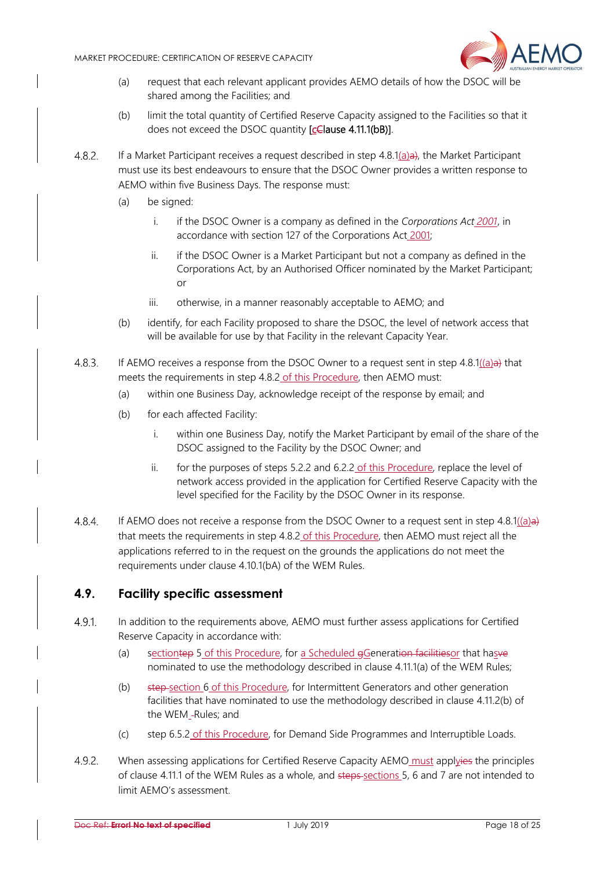

- (a) request that each relevant applicant provides AEMO details of how the DSOC will be shared among the Facilities; and
- (b) limit the total quantity of Certified Reserve Capacity assigned to the Facilities so that it does not exceed the DSOC quantity [celause 4.11.1(bB)].
- $4.8.2.$ If a Market Participant receives a request described in step 4.8.1(a)a), the Market Participant must use its best endeavours to ensure that the DSOC Owner provides a written response to AEMO within five Business Days. The response must:
	- (a) be signed:
		- i. if the DSOC Owner is a company as defined in the *Corporations Act 2001*, in accordance with section 127 of the Corporations Act 2001;
		- ii. if the DSOC Owner is a Market Participant but not a company as defined in the Corporations Act, by an Authorised Officer nominated by the Market Participant; or
		- iii. otherwise, in a manner reasonably acceptable to AEMO; and
	- (b) identify, for each Facility proposed to share the DSOC, the level of network access that will be available for use by that Facility in the relevant Capacity Year.
- 4.8.3. If AEMO receives a response from the DSOC Owner to a request sent in step  $4.8.1((a)$ a) that meets the requirements in step 4.8.2 of this Procedure, then AEMO must:
	- (a) within one Business Day, acknowledge receipt of the response by email; and
	- (b) for each affected Facility:
		- i. within one Business Day, notify the Market Participant by email of the share of the DSOC assigned to the Facility by the DSOC Owner; and
		- ii. for the purposes of steps 5.2.2 and 6.2.2 of this Procedure, replace the level of network access provided in the application for Certified Reserve Capacity with the level specified for the Facility by the DSOC Owner in its response.
- If AEMO does not receive a response from the DSOC Owner to a request sent in step  $4.8.1((a)$ a)  $4.8.4.$ that meets the requirements in step 4.8.2 of this Procedure, then AEMO must reject all the applications referred to in the request on the grounds the applications do not meet the requirements under clause 4.10.1(bA) of the WEM Rules.

#### **4.9. Facility specific assessment**

- $4.9.1$ In addition to the requirements above, AEMO must further assess applications for Certified Reserve Capacity in accordance with:
	- (a) sectiontep 5 of this Procedure, for a Scheduled e Generation facilities or that has ve nominated to use the methodology described in clause 4.11.1(a) of the WEM Rules;
	- (b) step section 6 of this Procedure, for Intermittent Generators and other generation facilities that have nominated to use the methodology described in clause 4.11.2(b) of the WEM\_-Rules; and
	- (c) step 6.5.2 of this Procedure, for Demand Side Programmes and Interruptible Loads.
- 4.9.2. When assessing applications for Certified Reserve Capacity AEMO must applyies the principles of clause 4.11.1 of the WEM Rules as a whole, and steps sections 5, 6 and 7 are not intended to limit AEMO's assessment.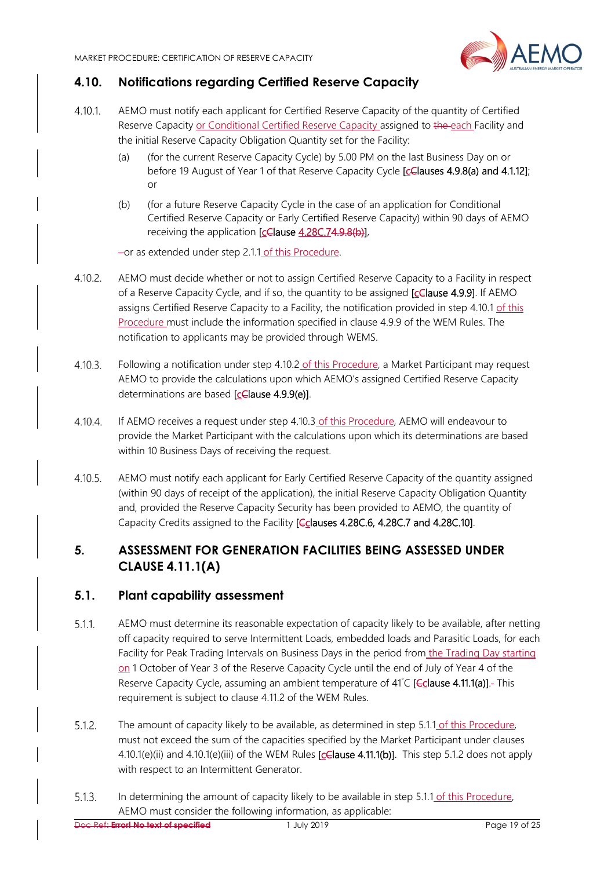

# **4.10. Notifications regarding Certified Reserve Capacity**

- $4.10.1$ . AEMO must notify each applicant for Certified Reserve Capacity of the quantity of Certified Reserve Capacity or Conditional Certified Reserve Capacity assigned to the each Facility and the initial Reserve Capacity Obligation Quantity set for the Facility:
	- (a) (for the current Reserve Capacity Cycle) by 5.00 PM on the last Business Day on or before 19 August of Year 1 of that Reserve Capacity Cycle [cClauses 4.9.8(a) and 4.1.12]; or
	- (b) (for a future Reserve Capacity Cycle in the case of an application for Conditional Certified Reserve Capacity or Early Certified Reserve Capacity) within 90 days of AEMO receiving the application [cClause 4.28C.74.9.8(b)],

or as extended under step 2.1.1 of this Procedure.

- $4.10.2.$ AEMO must decide whether or not to assign Certified Reserve Capacity to a Facility in respect of a Reserve Capacity Cycle, and if so, the quantity to be assigned [cClause 4.9.9]. If AEMO assigns Certified Reserve Capacity to a Facility, the notification provided in step 4.10.1 of this Procedure must include the information specified in clause 4.9.9 of the WEM Rules. The notification to applicants may be provided through WEMS.
- $4.10.3.$ Following a notification under step 4.10.2 of this Procedure, a Market Participant may request AEMO to provide the calculations upon which AEMO's assigned Certified Reserve Capacity determinations are based [cClause 4.9.9(e)].
- $4.10.4.$ If AEMO receives a request under step 4.10.3 of this Procedure, AEMO will endeavour to provide the Market Participant with the calculations upon which its determinations are based within 10 Business Days of receiving the request.
- $4.10.5.$ AEMO must notify each applicant for Early Certified Reserve Capacity of the quantity assigned (within 90 days of receipt of the application), the initial Reserve Capacity Obligation Quantity and, provided the Reserve Capacity Security has been provided to AEMO, the quantity of Capacity Credits assigned to the Facility [Cclauses 4.28C.6, 4.28C.7 and 4.28C.10].

# **5. ASSESSMENT FOR GENERATION FACILITIES BEING ASSESSED UNDER CLAUSE 4.11.1(A)**

#### **5.1. Plant capability assessment**

- $5.1.1.$ AEMO must determine its reasonable expectation of capacity likely to be available, after netting off capacity required to serve Intermittent Loads, embedded loads and Parasitic Loads, for each Facility for Peak Trading Intervals on Business Days in the period from the Trading Day starting on 1 October of Year 3 of the Reserve Capacity Cycle until the end of July of Year 4 of the Reserve Capacity Cycle, assuming an ambient temperature of 41°C [Cclause 4.11.1(a)].- This requirement is subject to clause 4.11.2 of the WEM Rules.
- The amount of capacity likely to be available, as determined in step 5.1.1 of this Procedure,  $5.1.2.$ must not exceed the sum of the capacities specified by the Market Participant under clauses 4.10.1(e)(ii) and 4.10.1(e)(iii) of the WEM Rules [celause 4.11.1(b)]. This step 5.1.2 does not apply with respect to an Intermittent Generator.
- $5.1.3.$ In determining the amount of capacity likely to be available in step 5.1.1 of this Procedure, AEMO must consider the following information, as applicable: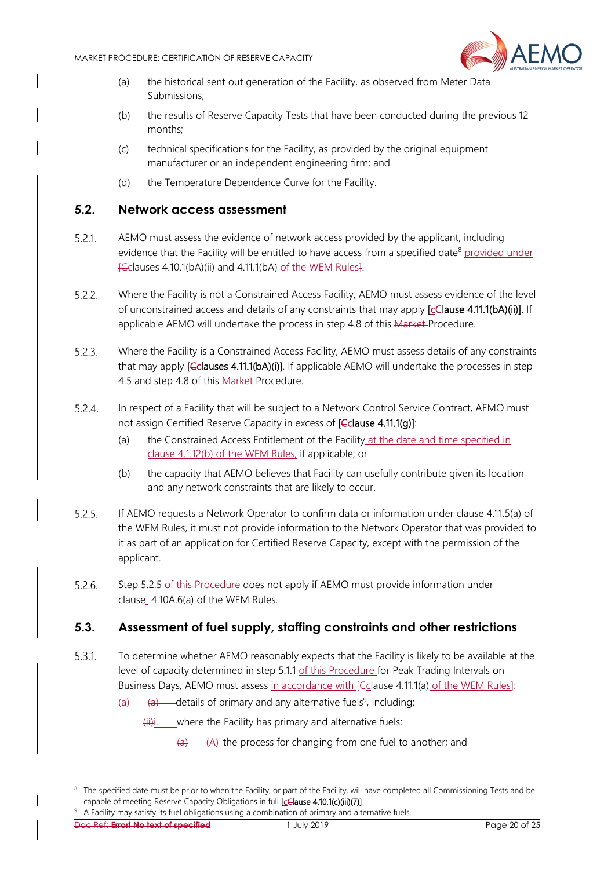

- (a) the historical sent out generation of the Facility, as observed from Meter Data Submissions;
- (b) the results of Reserve Capacity Tests that have been conducted during the previous 12 months;
- (c) technical specifications for the Facility, as provided by the original equipment manufacturer or an independent engineering firm; and
- (d) the Temperature Dependence Curve for the Facility.

#### **5.2. Network access assessment**

- $5.2.1$ AEMO must assess the evidence of network access provided by the applicant, including evidence that the Facility will be entitled to have access from a specified date<sup>8</sup> provided under [Cclauses 4.10.1(bA)(ii) and 4.11.1(bA) of the WEM Rules].
- $5.2.2.$ Where the Facility is not a Constrained Access Facility, AEMO must assess evidence of the level of unconstrained access and details of any constraints that may apply [cClause 4.11.1(bA)(ii)]. If applicable AEMO will undertake the process in step 4.8 of this Market-Procedure.
- $5.2.3.$ Where the Facility is a Constrained Access Facility, AEMO must assess details of any constraints that may apply [Cclauses 4.11.1(bA)(i)]. If applicable AEMO will undertake the processes in step 4.5 and step 4.8 of this Market Procedure.
- $5.2.4.$ In respect of a Facility that will be subject to a Network Control Service Contract, AEMO must not assign Certified Reserve Capacity in excess of [Cclause 4.11.1(g)]:
	- (a) the Constrained Access Entitlement of the Facility at the date and time specified in clause 4.1.12(b) of the WEM Rules, if applicable; or
	- (b) the capacity that AEMO believes that Facility can usefully contribute given its location and any network constraints that are likely to occur.
- $5.2.5.$ If AEMO requests a Network Operator to confirm data or information under clause 4.11.5(a) of the WEM Rules, it must not provide information to the Network Operator that was provided to it as part of an application for Certified Reserve Capacity, except with the permission of the applicant.
- $5.2.6.$ Step 5.2.5 of this Procedure does not apply if AEMO must provide information under clause\_-4.10A.6(a) of the WEM Rules.

#### **5.3. Assessment of fuel supply, staffing constraints and other restrictions**

- $5.3.1.$ To determine whether AEMO reasonably expects that the Facility is likely to be available at the level of capacity determined in step 5.1.1 of this Procedure for Peak Trading Intervals on Business Days, AEMO must assess in accordance with **[Cclause 4.11.1(a)** of the WEM Rules]:
	- $(a)$   $(a)$  details of primary and any alternative fuels<sup>9</sup>, including:

 $\overline{f(i)}$ i. where the Facility has primary and alternative fuels:

 $(a)$  (A) the process for changing from one fuel to another; and

1

<sup>&</sup>lt;sup>8</sup> The specified date must be prior to when the Facility, or part of the Facility, will have completed all Commissioning Tests and be capable of meeting Reserve Capacity Obligations in full [cClause 4.10.1(c)(iii)(7)].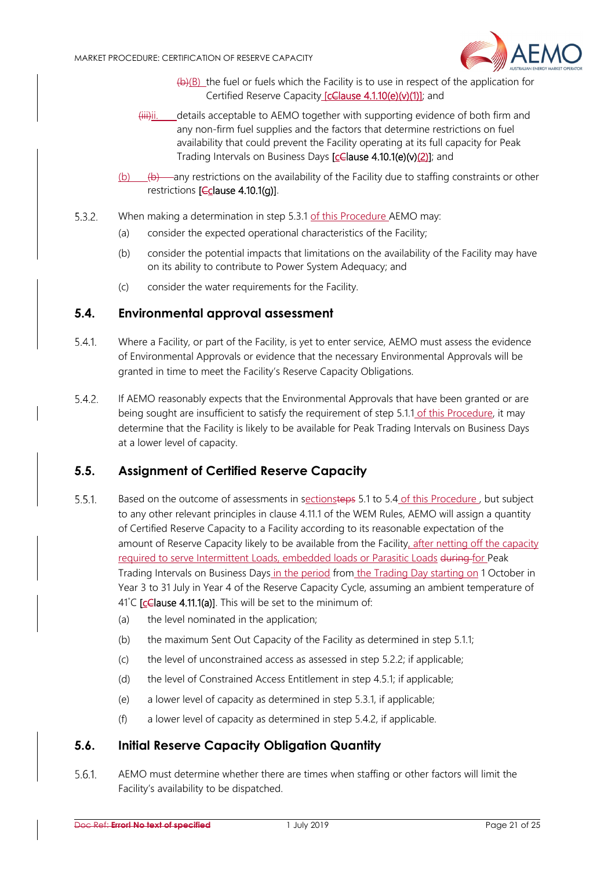

- $(b)(B)$  the fuel or fuels which the Facility is to use in respect of the application for Certified Reserve Capacity [celause 4.1.10(e)(v)(1)]; and
- (iii)ii. details acceptable to AEMO together with supporting evidence of both firm and any non-firm fuel supplies and the factors that determine restrictions on fuel availability that could prevent the Facility operating at its full capacity for Peak Trading Intervals on Business Days [celause 4.10.1(e)(v)(2)]; and
- (b)  $\left(\frac{b}{c}\right)$  any restrictions on the availability of the Facility due to staffing constraints or other restrictions [Cclause 4.10.1(g)].
- $5.3.2.$ When making a determination in step 5.3.1 of this Procedure AEMO may:
	- (a) consider the expected operational characteristics of the Facility;
	- (b) consider the potential impacts that limitations on the availability of the Facility may have on its ability to contribute to Power System Adequacy; and
	- (c) consider the water requirements for the Facility.

#### **5.4. Environmental approval assessment**

- $5.4.1.$ Where a Facility, or part of the Facility, is yet to enter service, AEMO must assess the evidence of Environmental Approvals or evidence that the necessary Environmental Approvals will be granted in time to meet the Facility's Reserve Capacity Obligations.
- $5.4.2.$ If AEMO reasonably expects that the Environmental Approvals that have been granted or are being sought are insufficient to satisfy the requirement of step 5.1.1 of this Procedure, it may determine that the Facility is likely to be available for Peak Trading Intervals on Business Days at a lower level of capacity.

#### **5.5. Assignment of Certified Reserve Capacity**

- $5.5.1.$ Based on the outcome of assessments in sectionsteps 5.1 to 5.4 of this Procedure, but subject to any other relevant principles in clause 4.11.1 of the WEM Rules, AEMO will assign a quantity of Certified Reserve Capacity to a Facility according to its reasonable expectation of the amount of Reserve Capacity likely to be available from the Facility, after netting off the capacity required to serve Intermittent Loads, embedded loads or Parasitic Loads during for Peak Trading Intervals on Business Days in the period from the Trading Day starting on 1 October in Year 3 to 31 July in Year 4 of the Reserve Capacity Cycle, assuming an ambient temperature of 41°C [celause 4.11.1(a)]. This will be set to the minimum of:
	- (a) the level nominated in the application;
	- (b) the maximum Sent Out Capacity of the Facility as determined in step 5.1.1;
	- (c) the level of unconstrained access as assessed in step 5.2.2; if applicable;
	- (d) the level of Constrained Access Entitlement in step 4.5.1; if applicable;
	- (e) a lower level of capacity as determined in step 5.3.1, if applicable;
	- (f) a lower level of capacity as determined in step 5.4.2, if applicable.

#### **5.6. Initial Reserve Capacity Obligation Quantity**

 $5.6.1$ AEMO must determine whether there are times when staffing or other factors will limit the Facility's availability to be dispatched.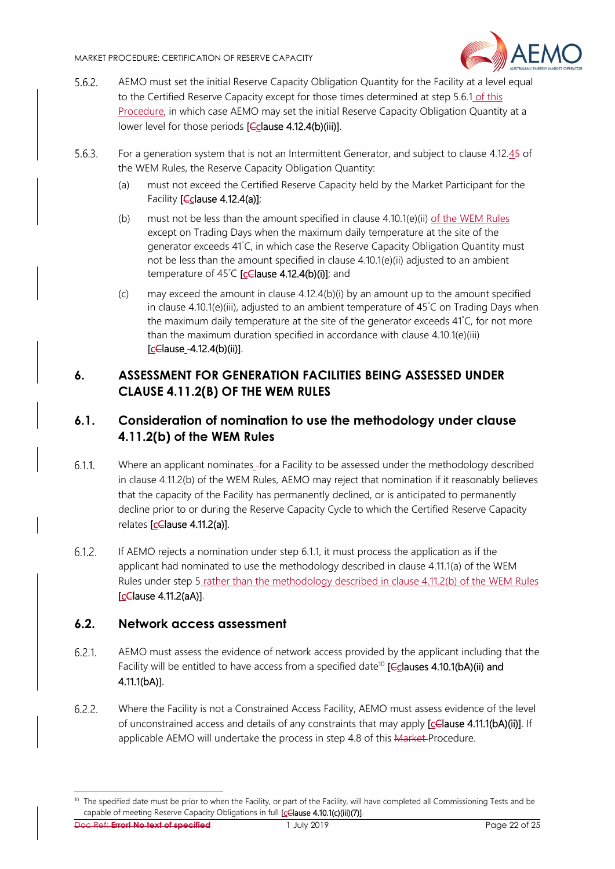

- $5.6.2.$ AEMO must set the initial Reserve Capacity Obligation Quantity for the Facility at a level equal to the Certified Reserve Capacity except for those times determined at step 5.6.1 of this Procedure, in which case AEMO may set the initial Reserve Capacity Obligation Quantity at a lower level for those periods  $[**C**$ clause 4.12.4(b)(iii)].
- $5.6.3.$ For a generation system that is not an Intermittent Generator, and subject to clause 4.12.45 of the WEM Rules, the Reserve Capacity Obligation Quantity:
	- (a) must not exceed the Certified Reserve Capacity held by the Market Participant for the Facility [Cclause 4.12.4(a)];
	- (b) must not be less than the amount specified in clause  $4.10.1(e)$ (ii) of the WEM Rules except on Trading Days when the maximum daily temperature at the site of the generator exceeds 41° C, in which case the Reserve Capacity Obligation Quantity must not be less than the amount specified in clause 4.10.1(e)(ii) adjusted to an ambient temperature of 45°C [celause 4.12.4(b)(i)]; and
	- (c) may exceed the amount in clause 4.12.4(b)(i) by an amount up to the amount specified in clause 4.10.1(e)(iii), adjusted to an ambient temperature of 45° C on Trading Days when the maximum daily temperature at the site of the generator exceeds 41° C, for not more than the maximum duration specified in accordance with clause 4.10.1(e)(iii)  $[cC$  ause  $-4.12.4(b)$  (ii)].

# **6. ASSESSMENT FOR GENERATION FACILITIES BEING ASSESSED UNDER CLAUSE 4.11.2(B) OF THE WEM RULES**

# **6.1. Consideration of nomination to use the methodology under clause 4.11.2(b) of the WEM Rules**

- $6.1.1$ . Where an applicant nominates for a Facility to be assessed under the methodology described in clause 4.11.2(b) of the WEM Rules, AEMO may reject that nomination if it reasonably believes that the capacity of the Facility has permanently declined, or is anticipated to permanently decline prior to or during the Reserve Capacity Cycle to which the Certified Reserve Capacity relates [cClause 4.11.2(a)].
- $6.1.2.$ If AEMO rejects a nomination under step 6.1.1, it must process the application as if the applicant had nominated to use the methodology described in clause 4.11.1(a) of the WEM Rules under step 5 rather than the methodology described in clause 4.11.2(b) of the WEM Rules [cClause 4.11.2(aA)].

#### **6.2. Network access assessment**

- $6.2.1$ AEMO must assess the evidence of network access provided by the applicant including that the Facility will be entitled to have access from a specified date<sup>10</sup> [Cclauses 4.10.1(bA)(ii) and 4.11.1(bA)].
- $6.2.2.$ Where the Facility is not a Constrained Access Facility, AEMO must assess evidence of the level of unconstrained access and details of any constraints that may apply  $[c \in \text{False 4.11.1(bA)}(ii)]$ . If applicable AEMO will undertake the process in step 4.8 of this Market-Procedure.

Doc Ref: **Error! No text of specified** 1 July 2019 Page 22 of 25

 $10$  The specified date must be prior to when the Facility, or part of the Facility, will have completed all Commissioning Tests and be capable of meeting Reserve Capacity Obligations in full [celause 4.10.1(c)(iii)(7)].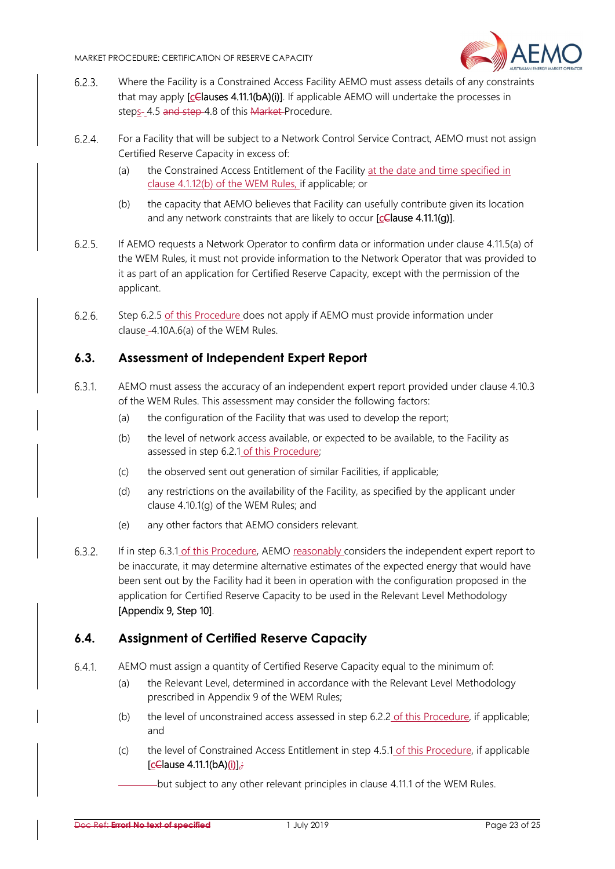

- $6.2.3.$ Where the Facility is a Constrained Access Facility AEMO must assess details of any constraints that may apply [celauses 4.11.1(bA)(i)]. If applicable AEMO will undertake the processes in steps- 4.5 and step 4.8 of this Market-Procedure.
- $6.2.4.$ For a Facility that will be subject to a Network Control Service Contract, AEMO must not assign Certified Reserve Capacity in excess of:
	- (a) the Constrained Access Entitlement of the Facility at the date and time specified in clause 4.1.12(b) of the WEM Rules, if applicable; or
	- (b) the capacity that AEMO believes that Facility can usefully contribute given its location and any network constraints that are likely to occur  $[ c \in \text{ clause 4.11.1(g)}].$
- $6.2.5.$ If AEMO requests a Network Operator to confirm data or information under clause 4.11.5(a) of the WEM Rules, it must not provide information to the Network Operator that was provided to it as part of an application for Certified Reserve Capacity, except with the permission of the applicant.
- $6.2.6.$ Step 6.2.5 of this Procedure does not apply if AEMO must provide information under clause 4.10A.6(a) of the WEM Rules.

#### **6.3. Assessment of Independent Expert Report**

- $6.3.1.$ AEMO must assess the accuracy of an independent expert report provided under clause 4.10.3 of the WEM Rules. This assessment may consider the following factors:
	- (a) the configuration of the Facility that was used to develop the report;
	- (b) the level of network access available, or expected to be available, to the Facility as assessed in step 6.2.1 of this Procedure;
	- (c) the observed sent out generation of similar Facilities, if applicable;
	- (d) any restrictions on the availability of the Facility, as specified by the applicant under clause 4.10.1(g) of the WEM Rules; and
	- (e) any other factors that AEMO considers relevant.
- If in step 6.3.1 of this Procedure, AEMO reasonably considers the independent expert report to  $6.3.2.$ be inaccurate, it may determine alternative estimates of the expected energy that would have been sent out by the Facility had it been in operation with the configuration proposed in the application for Certified Reserve Capacity to be used in the Relevant Level Methodology [Appendix 9, Step 10].

#### **6.4. Assignment of Certified Reserve Capacity**

- $6.4.1$ AEMO must assign a quantity of Certified Reserve Capacity equal to the minimum of:
	- (a) the Relevant Level, determined in accordance with the Relevant Level Methodology prescribed in Appendix 9 of the WEM Rules;
	- (b) the level of unconstrained access assessed in step 6.2.2 of this Procedure, if applicable; and
	- (c) the level of Constrained Access Entitlement in step 4.5.1 of this Procedure, if applicable  $[cG]_a$ use 4.11.1 $(bA)(i)$ 
		- but subject to any other relevant principles in clause 4.11.1 of the WEM Rules.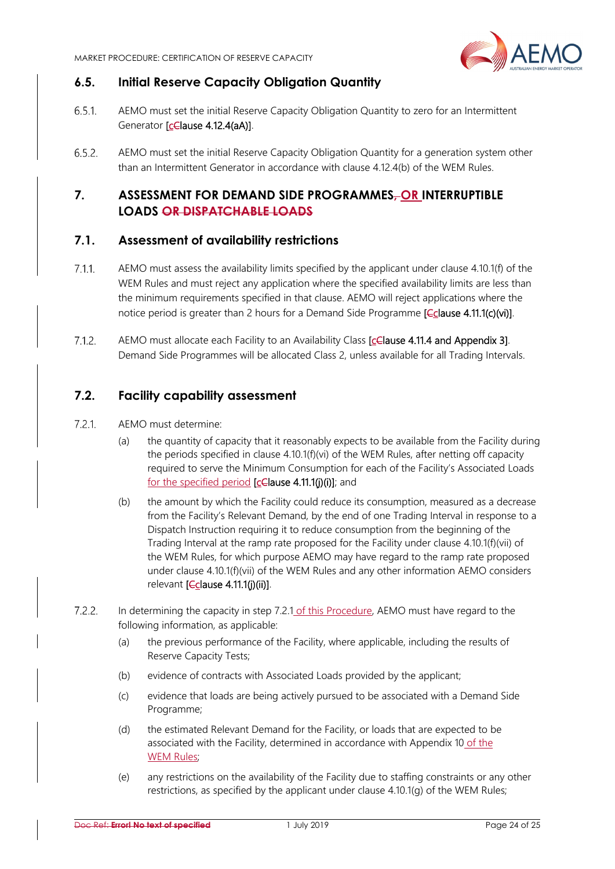

#### **6.5. Initial Reserve Capacity Obligation Quantity**

- $6.5.1$ AEMO must set the initial Reserve Capacity Obligation Quantity to zero for an Intermittent Generator [celause 4.12.4(aA)].
- AEMO must set the initial Reserve Capacity Obligation Quantity for a generation system other  $6.5.2.$ than an Intermittent Generator in accordance with clause 4.12.4(b) of the WEM Rules.

#### **7. ASSESSMENT FOR DEMAND SIDE PROGRAMMES, OR INTERRUPTIBLE LOADS OR DISPATCHABLE LOADS**

#### **7.1. Assessment of availability restrictions**

- $7.1.1$ AEMO must assess the availability limits specified by the applicant under clause 4.10.1(f) of the WEM Rules and must reject any application where the specified availability limits are less than the minimum requirements specified in that clause. AEMO will reject applications where the notice period is greater than 2 hours for a Demand Side Programme **[Cclause 4.11.1(c)(vi)**].
- $7.1.2.$ AEMO must allocate each Facility to an Availability Class [celause 4.11.4 and Appendix 3]. Demand Side Programmes will be allocated Class 2, unless available for all Trading Intervals.

#### **7.2. Facility capability assessment**

- $7.2.1.$ AEMO must determine:
	- (a) the quantity of capacity that it reasonably expects to be available from the Facility during the periods specified in clause 4.10.1(f)(vi) of the WEM Rules, after netting off capacity required to serve the Minimum Consumption for each of the Facility's Associated Loads for the specified period [celause 4.11.1(j)(i)]; and
	- (b) the amount by which the Facility could reduce its consumption, measured as a decrease from the Facility's Relevant Demand, by the end of one Trading Interval in response to a Dispatch Instruction requiring it to reduce consumption from the beginning of the Trading Interval at the ramp rate proposed for the Facility under clause 4.10.1(f)(vii) of the WEM Rules, for which purpose AEMO may have regard to the ramp rate proposed under clause 4.10.1(f)(vii) of the WEM Rules and any other information AEMO considers relevant [*Cclause 4.11.1(j)(ii)]*.
- $7.2.2.$ In determining the capacity in step 7.2.1 of this Procedure, AEMO must have regard to the following information, as applicable:
	- (a) the previous performance of the Facility, where applicable, including the results of Reserve Capacity Tests;
	- (b) evidence of contracts with Associated Loads provided by the applicant;
	- (c) evidence that loads are being actively pursued to be associated with a Demand Side Programme;
	- (d) the estimated Relevant Demand for the Facility, or loads that are expected to be associated with the Facility, determined in accordance with Appendix 10 of the WEM Rules;
	- (e) any restrictions on the availability of the Facility due to staffing constraints or any other restrictions, as specified by the applicant under clause 4.10.1(g) of the WEM Rules;